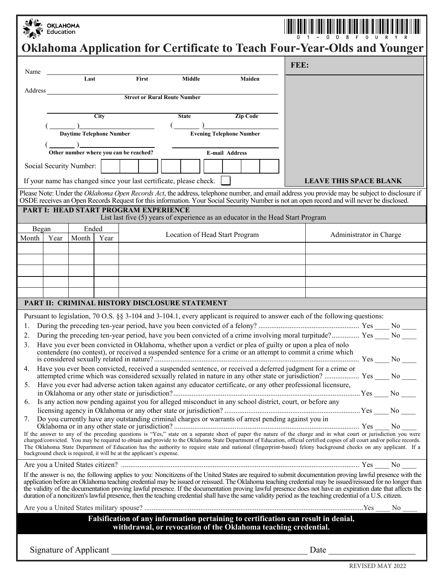|         | <b>OKLAHOMA</b><br>Education |                                 |             |                                                                      |                                                                                 |                                 | <b>Oklahoma Application for Certificate to Teach Four-Year-Olds and Younger</b>                                                                                                                                                                                                                                                                                                                                                                                                                                                                                                                                                                  |
|---------|------------------------------|---------------------------------|-------------|----------------------------------------------------------------------|---------------------------------------------------------------------------------|---------------------------------|--------------------------------------------------------------------------------------------------------------------------------------------------------------------------------------------------------------------------------------------------------------------------------------------------------------------------------------------------------------------------------------------------------------------------------------------------------------------------------------------------------------------------------------------------------------------------------------------------------------------------------------------------|
|         |                              |                                 |             |                                                                      |                                                                                 |                                 | FEE:                                                                                                                                                                                                                                                                                                                                                                                                                                                                                                                                                                                                                                             |
| Name    |                              | Last                            |             | First                                                                | <b>Middle</b>                                                                   | Maiden                          |                                                                                                                                                                                                                                                                                                                                                                                                                                                                                                                                                                                                                                                  |
| Address |                              |                                 |             | <b>Street or Rural Route Number</b>                                  |                                                                                 |                                 |                                                                                                                                                                                                                                                                                                                                                                                                                                                                                                                                                                                                                                                  |
|         |                              |                                 | <b>City</b> |                                                                      | <b>State</b>                                                                    | <b>Zip Code</b>                 |                                                                                                                                                                                                                                                                                                                                                                                                                                                                                                                                                                                                                                                  |
|         |                              |                                 |             |                                                                      |                                                                                 |                                 |                                                                                                                                                                                                                                                                                                                                                                                                                                                                                                                                                                                                                                                  |
|         |                              | <b>Daytime Telephone Number</b> |             |                                                                      |                                                                                 | <b>Evening Telephone Number</b> |                                                                                                                                                                                                                                                                                                                                                                                                                                                                                                                                                                                                                                                  |
|         |                              |                                 |             | Other number where you can be reached?                               |                                                                                 | <b>E-mail Address</b>           |                                                                                                                                                                                                                                                                                                                                                                                                                                                                                                                                                                                                                                                  |
|         |                              | Social Security Number:         |             |                                                                      |                                                                                 |                                 |                                                                                                                                                                                                                                                                                                                                                                                                                                                                                                                                                                                                                                                  |
|         |                              |                                 |             |                                                                      | If your name has changed since your last certificate, please check.             |                                 | <b>LEAVE THIS SPACE BLANK</b>                                                                                                                                                                                                                                                                                                                                                                                                                                                                                                                                                                                                                    |
|         |                              |                                 |             |                                                                      |                                                                                 |                                 | Please Note: Under the Oklahoma Open Records Act, the address, telephone number, and email address you provide may be subject to disclosure if<br>OSDE receives an Open Records Request for this information. Your Social Security Number is not an open record and will never be disclosed.                                                                                                                                                                                                                                                                                                                                                     |
|         |                              |                                 |             | PART I: HEAD START PROGRAM EXPERIENCE                                | List last five (5) years of experience as an educator in the Head Start Program |                                 |                                                                                                                                                                                                                                                                                                                                                                                                                                                                                                                                                                                                                                                  |
| Began   |                              | Ended                           |             |                                                                      |                                                                                 |                                 |                                                                                                                                                                                                                                                                                                                                                                                                                                                                                                                                                                                                                                                  |
| Month   | Year                         | Month                           | Year        |                                                                      | Location of Head Start Program                                                  |                                 | Administrator in Charge                                                                                                                                                                                                                                                                                                                                                                                                                                                                                                                                                                                                                          |
|         |                              |                                 |             |                                                                      |                                                                                 |                                 |                                                                                                                                                                                                                                                                                                                                                                                                                                                                                                                                                                                                                                                  |
|         |                              |                                 |             |                                                                      |                                                                                 |                                 |                                                                                                                                                                                                                                                                                                                                                                                                                                                                                                                                                                                                                                                  |
|         |                              |                                 |             |                                                                      |                                                                                 |                                 |                                                                                                                                                                                                                                                                                                                                                                                                                                                                                                                                                                                                                                                  |
|         |                              |                                 |             |                                                                      | PART II: CRIMINAL HISTORY DISCLOSURE STATEMENT                                  |                                 |                                                                                                                                                                                                                                                                                                                                                                                                                                                                                                                                                                                                                                                  |
|         |                              |                                 |             |                                                                      |                                                                                 |                                 | Pursuant to legislation, 70 O.S. §§ 3-104 and 3-104.1, every applicant is required to answer each of the following questions:                                                                                                                                                                                                                                                                                                                                                                                                                                                                                                                    |
|         |                              |                                 |             |                                                                      |                                                                                 |                                 |                                                                                                                                                                                                                                                                                                                                                                                                                                                                                                                                                                                                                                                  |
|         |                              |                                 |             |                                                                      |                                                                                 |                                 | 2. During the preceding ten-year period, have you been convicted of a crime involving moral turpitude? Yes ____ No ____<br>3. Have you ever been convicted in Oklahoma, whether upon a verdict or plea of guilty or upon a plea of nolo                                                                                                                                                                                                                                                                                                                                                                                                          |
|         |                              |                                 |             |                                                                      |                                                                                 |                                 | contendere (no contest), or received a suspended sentence for a crime or an attempt to commit a crime which                                                                                                                                                                                                                                                                                                                                                                                                                                                                                                                                      |
| 4.      |                              |                                 |             |                                                                      |                                                                                 |                                 | Have you ever been convicted, received a suspended sentence, or received a deferred judgment for a crime or                                                                                                                                                                                                                                                                                                                                                                                                                                                                                                                                      |
| 5.      |                              |                                 |             |                                                                      |                                                                                 |                                 | Have you ever had adverse action taken against any educator certificate, or any other professional licensure,                                                                                                                                                                                                                                                                                                                                                                                                                                                                                                                                    |
| 6.      |                              |                                 |             |                                                                      |                                                                                 |                                 | Is any action now pending against you for alleged misconduct in any school district, court, or before any                                                                                                                                                                                                                                                                                                                                                                                                                                                                                                                                        |
|         |                              |                                 |             |                                                                      |                                                                                 |                                 |                                                                                                                                                                                                                                                                                                                                                                                                                                                                                                                                                                                                                                                  |
| 7.      |                              |                                 |             |                                                                      |                                                                                 |                                 | Do you currently have any outstanding criminal charges or warrants of arrest pending against you in<br>Do you currently have any outstanding criminal enarges of warrants of arrest penaling against you in                                                                                                                                                                                                                                                                                                                                                                                                                                      |
|         |                              |                                 |             | background check is required, it will be at the applicant's expense. |                                                                                 |                                 | If the answer to any of the preceding questions is "Yes," state on a separate sheet of paper the nature of the charge and in what court or jurisdiction you were charged/convicted. You may be required to obtain and provide<br>The Oklahoma State Department of Education has the authority to require state and national (fingerprint-based) felony background checks on any applicant. If a<br>the control of the control of the control of the control of the control of the control of the control of the control of the control of the control of the control of the control of the control of the control of the control                 |
|         |                              |                                 |             |                                                                      |                                                                                 |                                 |                                                                                                                                                                                                                                                                                                                                                                                                                                                                                                                                                                                                                                                  |
|         |                              |                                 |             |                                                                      |                                                                                 |                                 | If the answer is no, the following applies to you: Noncitizens of the United States are required to submit documentation proving lawful presence with the<br>application before an Oklahoma teaching credential may be issued or reissued. The Oklahoma teaching credential may be issued/reissued for no longer than<br>the validity of the documentation proving lawful presence. If the documentation proving lawful presence does not have an expiration date that affects the<br>duration of a noncitizen's lawful presence, then the teaching credential shall have the same validity period as the teaching credential of a U.S. citizen. |
|         |                              |                                 |             |                                                                      |                                                                                 |                                 | No.                                                                                                                                                                                                                                                                                                                                                                                                                                                                                                                                                                                                                                              |
|         |                              |                                 |             |                                                                      | withdrawal, or revocation of the Oklahoma teaching credential.                  |                                 | Falsification of any information pertaining to certification can result in denial,                                                                                                                                                                                                                                                                                                                                                                                                                                                                                                                                                               |
|         |                              | Signature of Applicant          |             |                                                                      |                                                                                 |                                 | Date                                                                                                                                                                                                                                                                                                                                                                                                                                                                                                                                                                                                                                             |

Revised March 2011 REVISED MAY 2022